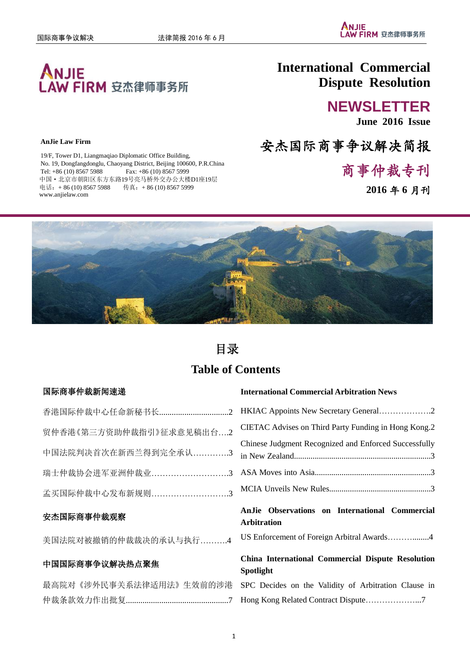

### **AnJie Law Firm**

19/F, Tower D1, Liangmaqiao Diplomatic Office Building, No. 19, Dongfangdonglu, Chaoyang District, Beijing 100600, P.R.China Tel: +86 (10) 8567 5988 Fax: +86 (10) 8567 5999 中国·北京市朝阳区东方东路19号亮马桥外交办公大楼D1座19层 电话: + 86 (10) 8567 5988 传真: + 86 (10) 8567 5999 www.anjielaw.com

# **International Commercial Dispute Resolution**

# **NEWSLETTER**

**June 2016 Issue**

安杰国际商事争议解决简报

商事仲裁专刊

**2016** 年 **6** 月刊



# 目录

# **Table of Contents**

### 国际商事仲裁新闻速递

| 贸仲香港《第三方资助仲裁指引》征求意见稿出台2          | <b>CIETAC Adv</b> |
|----------------------------------|-------------------|
| 中国法院判决首次在新西兰得到完全承认3 in New Zeala | Chinese Judg      |
|                                  |                   |
| 孟买国际仲裁中心发布新规则3 MCIA Unvei        |                   |
|                                  |                   |

## 安杰国际商事仲裁观察

美国法院对被撤销的仲裁裁决的承认与执行……….4

### 中国国际商事争议解决热点聚焦

|  | 最高院对《涉外民事关系法律适用法》生效前的涉港 |  |
|--|-------------------------|--|
|  |                         |  |

### **International Commercial Arbitration News**

| CIETAC Advises on Third Party Funding in Hong Kong.2  |
|-------------------------------------------------------|
| Chinese Judgment Recognized and Enforced Successfully |
|                                                       |
|                                                       |

## **AnJie Observations on International Commercial Arbitration**

US Enforcement of Foreign Arbitral Awards………........4

## **China International Commercial Dispute Resolution Spotlight**

SPC Decides on the Validity of Arbitration Clause in Hong Kong Related Contract Dispute………………...7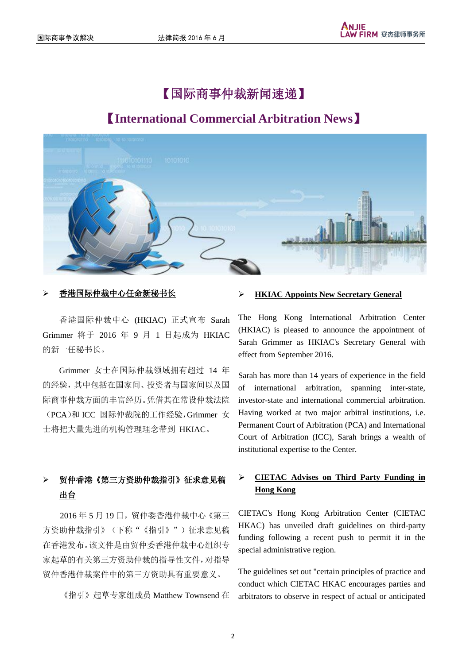# 【国际商事仲裁新闻速递】

# 【**International Commercial Arbitration News**】



香港国际仲裁中心 (HKIAC) 正式宣布 Sarah Grimmer 将于 2016 年 9 月 1 日起成为 HKIAC 的新一任秘书长。

Grimmer 女士在国际仲裁领域拥有超过 14 年 的经验,其中包括在国家间、投资者与国家间以及国 际商事仲裁方面的丰富经历。凭借其在常设仲裁法院 (PCA)和 ICC 国际仲裁院的工作经验,Grimmer 女 士将把大量先进的机构管理理念带到 HKIAC。

## 贸仲香港《第三方资助仲裁指引》征求意见稿 出台

2016 年 5 月 19 日,贸仲委香港仲裁中心《第三 方资助仲裁指引》(下称"《指引》")征求意见稿 在香港发布。该文件是由贸仲委香港仲裁中心组织专 家起草的有关第三方资助仲裁的指导性文件,对指导 贸仲香港仲裁案件中的第三方资助具有重要意义。

《指引》起草专家组成员 Matthew Townsend 在

## 香港国际仲裁中心任命新秘书长 **HKIAC Appoints New Secretary General**

The Hong Kong International Arbitration Center (HKIAC) is pleased to announce the appointment of Sarah Grimmer as HKIAC's Secretary General with effect from September 2016.

Sarah has more than 14 years of experience in the field of international arbitration, spanning inter-state, investor-state and international commercial arbitration. Having worked at two major arbitral institutions, i.e. Permanent Court of Arbitration (PCA) and International Court of Arbitration (ICC), Sarah brings a wealth of institutional expertise to the Center.

## **CIETAC Advises on Third Party Funding in Hong Kong**

CIETAC's Hong Kong Arbitration Center (CIETAC HKAC) has unveiled draft guidelines on third-party funding following a recent push to permit it in the special administrative region.

The guidelines set out "certain principles of practice and conduct which CIETAC HKAC encourages parties and arbitrators to observe in respect of actual or anticipated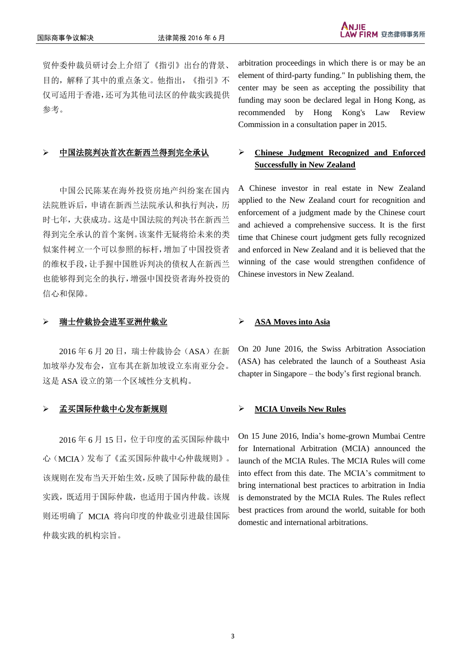贸仲委仲裁员研讨会上介绍了《指引》出台的背景、 目的,解释了其中的重点条文。他指出,《指引》不 仅可适用于香港,还可为其他司法区的仲裁实践提供 参考。

中国公民陈某在海外投资房地产纠纷案在国内 法院胜诉后,申请在新西兰法院承认和执行判决,历 时七年,大获成功。这是中国法院的判决书在新西兰 得到完全承认的首个案例。该案件无疑将给未来的类 似案件树立一个可以参照的标杆,增加了中国投资者 的维权手段,让手握中国胜诉判决的债权人在新西兰 也能够得到完全的执行,增强中国投资者海外投资的 信心和保障。

### 瑞士仲裁协会进军亚洲仲裁业 **ASA Moves into Asia**

2016年 6月 20日,瑞士仲裁协会(ASA)在新 加坡举办发布会,宣布其在新加坡设立东南亚分会。 这是 ASA 设立的第一个区域性分支机构。

### 孟买国际仲裁中心发布新规则 **MCIA Unveils New Rules**

2016年 6月15日,位于印度的孟买国际仲裁中 心(MCIA)发布了《孟买国际仲裁中心仲裁规则》。 该规则在发布当天开始生效,反映了国际仲裁的最佳 实践,既适用于国际仲裁,也适用于国内仲裁。该规 则还明确了 MCIA 将向印度的仲裁业引进最佳国际 仲裁实践的机构宗旨。

arbitration proceedings in which there is or may be an element of third-party funding." In publishing them, the center may be seen as accepting the possibility that funding may soon be declared legal in Hong Kong, as recommended by Hong Kong's Law Review Commission in a consultation paper in 2015.

## 中国法院判决首次在新西兰得到完全承认 **Chinese Judgment Recognized and Enforced Successfully in New Zealand**

A Chinese investor in real estate in New Zealand applied to the New Zealand court for recognition and enforcement of a judgment made by the Chinese court and achieved a comprehensive success. It is the first time that Chinese court judgment gets fully recognized and enforced in New Zealand and it is believed that the winning of the case would strengthen confidence of Chinese investors in New Zealand.

On 20 June 2016, the Swiss Arbitration Association (ASA) has celebrated the launch of a Southeast Asia chapter in Singapore – the body"s first regional branch.

On 15 June 2016, India"s home-grown Mumbai Centre for International Arbitration (MCIA) announced the launch of the MCIA Rules. The MCIA Rules will come into effect from this date. The MCIA's commitment to bring international best practices to arbitration in India is demonstrated by the MCIA Rules. The Rules reflect best practices from around the world, suitable for both domestic and international arbitrations.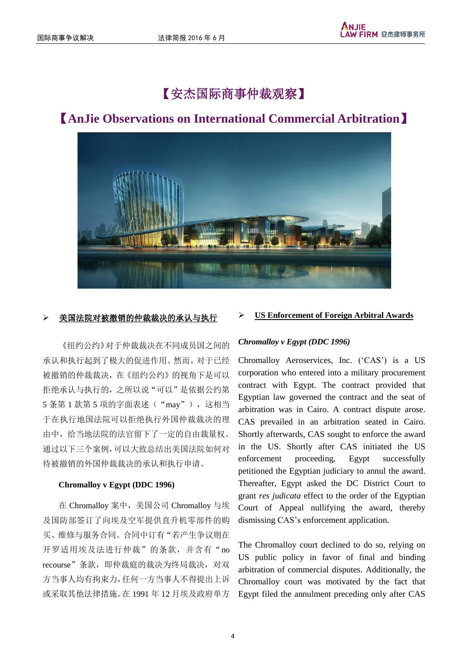# 【安杰国际商事仲裁观察】



# 【**AnJie Observations on International Commercial Arbitration**】

《纽约公约》对于仲裁裁决在不同成员国之间的 承认和执行起到了极大的促进作用。然而,对于已经 被撤销的仲裁裁决,在《纽约公约》的视角下是可以 拒绝承认与执行的,之所以说"可以"是依据公约第 5 条第 1 款第 5 项的字面表述("may"),这相当 于在执行地国法院可以拒绝执行外国仲裁裁决的理 由中,给当地法院的法官留下了一定的自由裁量权。 通过以下三个案例,可以大致总结出美国法院如何对 待被撤销的外国仲裁裁决的承认和执行申请。

### **Chromalloy v Egypt (DDC 1996)**

在 Chromalloy 案中,美国公司 Chromalloy 与埃 及国防部签订了向埃及空军提供直升机零部件的购 买、维修与服务合同。合同中订有"若产生争议则在 开罗适用埃及法进行仲裁"的条款,并含有"no recourse"条款,即仲裁庭的裁决为终局裁决,对双 方当事人均有拘束力,任何一方当事人不得提出上诉 或采取其他法律措施。在 1991 年 12 月埃及政府单方

## 美国法院对被撤销的仲裁裁决的承认与执行 **US Enforcement of Foreign Arbitral Awards**

### *Chromalloy v Egypt (DDC 1996)*

Chromalloy Aeroservices, Inc. ("CAS") is a US corporation who entered into a military procurement contract with Egypt. The contract provided that Egyptian law governed the contract and the seat of arbitration was in Cairo. A contract dispute arose. CAS prevailed in an arbitration seated in Cairo. Shortly afterwards, CAS sought to enforce the award in the US. Shortly after CAS initiated the US enforcement proceeding, Egypt successfully petitioned the Egyptian judiciary to annul the award. Thereafter, Egypt asked the DC District Court to grant *res judicata* effect to the order of the Egyptian Court of Appeal nullifying the award, thereby dismissing CAS"s enforcement application.

The Chromalloy court declined to do so, relying on US public policy in favor of final and binding arbitration of commercial disputes. Additionally, the Chromalloy court was motivated by the fact that Egypt filed the annulment preceding only after CAS

4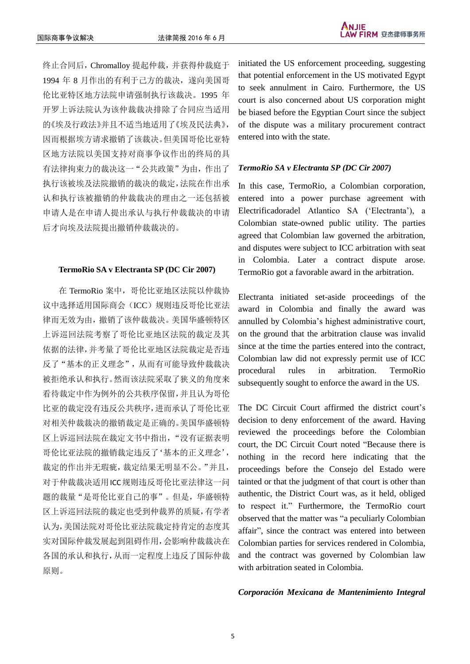终止合同后,Chromalloy 提起仲裁,并获得仲裁庭于 1994 年 8 月作出的有利于己方的裁决,遂向美国哥 伦比亚特区地方法院申请强制执行该裁决。1995 年 开罗上诉法院认为该仲裁裁决排除了合同应当适用 的《埃及行政法》并且不适当地适用了《埃及民法典》, 因而根据埃方请求撤销了该裁决。但美国哥伦比亚特 区地方法院以美国支持对商事争议作出的终局的具 有法律拘束力的裁决这一"公共政策"为由,作出了 执行该被埃及法院撤销的裁决的裁定,法院在作出承 认和执行该被撤销的仲裁裁决的理由之一还包括被 申请人是在申请人提出承认与执行仲裁裁决的申请 后才向埃及法院提出撤销仲裁裁决的。

### **TermoRio SA v Electranta SP (DC Cir 2007)**

在 TermoRio 案中,哥伦比亚地区法院以仲裁协 议中选择适用国际商会(ICC)规则违反哥伦比亚法 律而无效为由,撤销了该仲裁裁决。美国华盛顿特区 上诉巡回法院考察了哥伦比亚地区法院的裁定及其 依据的法律,并考量了哥伦比亚地区法院裁定是否违 反了"基本的正义理念",从而有可能导致仲裁裁决 被拒绝承认和执行。然而该法院采取了狭义的角度来 看待裁定中作为例外的公共秩序保留,并且认为哥伦 比亚的裁定没有违反公共秩序,进而承认了哥伦比亚 对相关仲裁裁决的撤销裁定是正确的。美国华盛顿特 区上诉巡回法院在裁定文书中指出,"没有证据表明 哥伦比亚法院的撤销裁定违反了'基本的正义理念', 裁定的作出并无瑕疵,裁定结果无明显不公。"并且, 对于仲裁裁决适用ICC规则违反哥伦比亚法律这一问 题的裁量"是哥伦比亚自己的事"。但是,华盛顿特 区上诉巡回法院的裁定也受到仲裁界的质疑,有学者 认为,美国法院对哥伦比亚法院裁定持肯定的态度其 实对国际仲裁发展起到阻碍作用,会影响仲裁裁决在 各国的承认和执行,从而一定程度上违反了国际仲裁 原则。

initiated the US enforcement proceeding, suggesting that potential enforcement in the US motivated Egypt to seek annulment in Cairo. Furthermore, the US court is also concerned about US corporation might be biased before the Egyptian Court since the subject of the dispute was a military procurement contract entered into with the state.

### *TermoRio SA v Electranta SP (DC Cir 2007)*

In this case, TermoRio, a Colombian corporation, entered into a power purchase agreement with Electrificadoradel Atlantico SA ("Electranta"), a Colombian state-owned public utility. The parties agreed that Colombian law governed the arbitration, and disputes were subject to ICC arbitration with seat in Colombia. Later a contract dispute arose. TermoRio got a favorable award in the arbitration.

Electranta initiated set-aside proceedings of the award in Colombia and finally the award was annulled by Colombia"s highest administrative court, on the ground that the arbitration clause was invalid since at the time the parties entered into the contract, Colombian law did not expressly permit use of ICC procedural rules in arbitration. TermoRio subsequently sought to enforce the award in the US.

The DC Circuit Court affirmed the district court's decision to deny enforcement of the award. Having reviewed the proceedings before the Colombian court, the DC Circuit Court noted "Because there is nothing in the record here indicating that the proceedings before the Consejo del Estado were tainted or that the judgment of that court is other than authentic, the District Court was, as it held, obliged to respect it." Furthermore, the TermoRio court observed that the matter was "a peculiarly Colombian affair", since the contract was entered into between Colombian parties for services rendered in Colombia, and the contract was governed by Colombian law with arbitration seated in Colombia.

### *Corporación Mexicana de Mantenimiento Integral*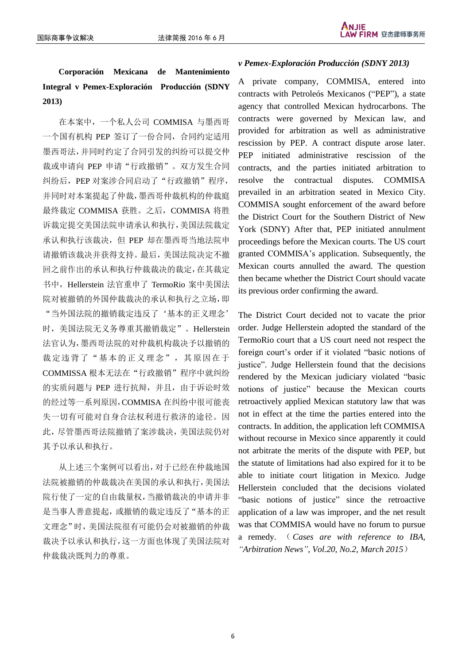**Corporación Mexicana de Mantenimiento Integral v Pemex-Exploración Producción (SDNY 2013)**

在本案中,一个私人公司 COMMISA 与墨西哥 一个国有机构 PEP 签订了一份合同,合同约定适用 墨西哥法,并同时约定了合同引发的纠纷可以提交仲 裁或申请向 PEP 申请"行政撤销"。双方发生合同 纠纷后, PEP 对案涉合同启动了"行政撤销"程序, 并同时对本案提起了仲裁,墨西哥仲裁机构的仲裁庭 最终裁定 COMMISA 获胜。之后, COMMISA 将胜 诉裁定提交美国法院申请承认和执行,美国法院裁定 承认和执行该裁决,但 PEP 却在墨西哥当地法院申 请撤销该裁决并获得支持。最后,美国法院决定不撤 回之前作出的承认和执行仲裁裁决的裁定,在其裁定 书中, Hellerstein 法官重申了 TermoRio 案中美国法 院对被撤销的外国仲裁裁决的承认和执行之立场,即 "当外国法院的撤销裁定违反了'基本的正义理念' 时,美国法院无义务尊重其撤销裁定"。Hellerstein 法官认为,墨西哥法院的对仲裁机构裁决予以撤销的 裁定违背了"基本的正义理念",其原因在于 COMMISSA 根本无法在"行政撤销"程序中就纠纷 的实质问题与 PEP 进行抗辩, 并且, 由于诉讼时效 的经过等一系列原因,COMMISA 在纠纷中很可能丧 失一切有可能对自身合法权利进行救济的途径。因 此,尽管墨西哥法院撤销了案涉裁决,美国法院仍对 其予以承认和执行。

从上述三个案例可以看出,对于已经在仲裁地国 法院被撤销的仲裁裁决在美国的承认和执行,美国法 院行使了一定的自由裁量权,当撤销裁决的申请并非 是当事人善意提起,或撤销的裁定违反了"基本的正 文理念"时,美国法院很有可能仍会对被撤销的仲裁 裁决予以承认和执行,这一方面也体现了美国法院对 仲裁裁决既判力的尊重。

### *v Pemex-Exploración Producción (SDNY 2013)*

A private company, COMMISA, entered into contracts with Petroleós Mexicanos ("PEP"), a state agency that controlled Mexican hydrocarbons. The contracts were governed by Mexican law, and provided for arbitration as well as administrative rescission by PEP. A contract dispute arose later. PEP initiated administrative rescission of the contracts, and the parties initiated arbitration to resolve the contractual disputes. COMMISA prevailed in an arbitration seated in Mexico City. COMMISA sought enforcement of the award before the District Court for the Southern District of New York (SDNY) After that, PEP initiated annulment proceedings before the Mexican courts. The US court granted COMMISA"s application. Subsequently, the Mexican courts annulled the award. The question then became whether the District Court should vacate its previous order confirming the award.

The District Court decided not to vacate the prior order. Judge Hellerstein adopted the standard of the TermoRio court that a US court need not respect the foreign court"s order if it violated "basic notions of justice". Judge Hellerstein found that the decisions rendered by the Mexican judiciary violated "basic notions of justice" because the Mexican courts retroactively applied Mexican statutory law that was not in effect at the time the parties entered into the contracts. In addition, the application left COMMISA without recourse in Mexico since apparently it could not arbitrate the merits of the dispute with PEP, but the statute of limitations had also expired for it to be able to initiate court litigation in Mexico. Judge Hellerstein concluded that the decisions violated "basic notions of justice" since the retroactive application of a law was improper, and the net result was that COMMISA would have no forum to pursue a remedy. ( *Cases are with reference to IBA, "Arbitration News", Vol.20, No.2, March 2015*)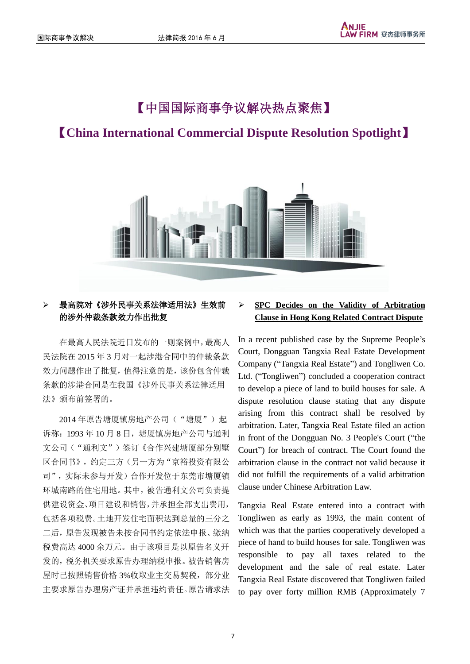# 【中国国际商事争议解决热点聚焦】

# 【**China International Commercial Dispute Resolution Spotlight**】



## 最高院对《涉外民事关系法律适用法》生效前 的涉外仲裁条款效力作出批复

在最高人民法院近日发布的一则案例中,最高人 民法院在 2015 年 3 月对一起涉港合同中的仲裁条款 效力问题作出了批复,值得注意的是,该份包含仲裁 条款的涉港合同是在我国《涉外民事关系法律适用 法》颁布前签署的。

2014年原告塘厦镇房地产公司("塘厦")起 诉称:1993 年 10 月 8 日,塘厦镇房地产公司与通利 文公司("通利文")签订《合作兴建塘厦部分别墅 区合同书》,约定三方(另一方为"京裕投资有限公 司",实际未参与开发)合作开发位于东莞市塘厦镇 环城南路的住宅用地。其中,被告通利文公司负责提 供建设资金、项目建设和销售,并承担全部支出费用, 包括各项税费。土地开发住宅面积达到总量的三分之 二后,原告发现被告未按合同书约定依法申报、缴纳 税费高达 4000 余万元。由于该项目是以原告名义开 发的,税务机关要求原告办理纳税申报。被告销售房 屋时已按照销售价格 3%收取业主交易契税,部分业 主要求原告办理房产证并承担违约责任。原告请求法

## **SPC Decides on the Validity of Arbitration Clause in Hong Kong Related Contract Dispute**

In a recent published case by the Supreme People"s Court, Dongguan Tangxia Real Estate Development Company ("Tangxia Real Estate") and Tongliwen Co. Ltd. ("Tongliwen") concluded a cooperation contract to develop a piece of land to build houses for sale. A dispute resolution clause stating that any dispute arising from this contract shall be resolved by arbitration. Later, Tangxia Real Estate filed an action in front of the Dongguan No. 3 People's Court ("the Court") for breach of contract. The Court found the arbitration clause in the contract not valid because it did not fulfill the requirements of a valid arbitration clause under Chinese Arbitration Law.

Tangxia Real Estate entered into a contract with Tongliwen as early as 1993, the main content of which was that the parties cooperatively developed a piece of hand to build houses for sale. Tongliwen was responsible to pay all taxes related to the development and the sale of real estate. Later Tangxia Real Estate discovered that Tongliwen failed to pay over forty million RMB (Approximately 7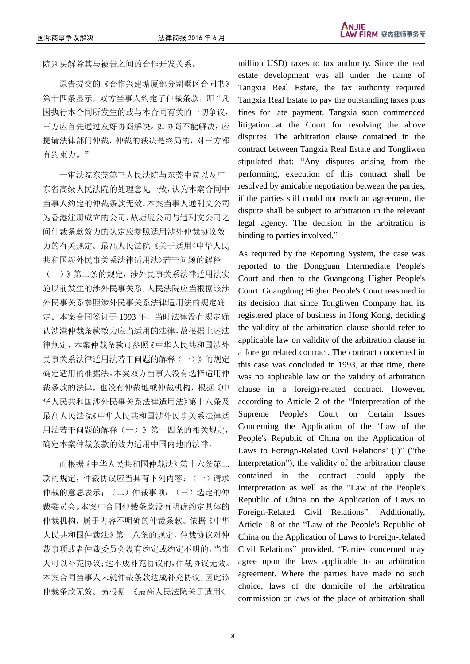院判决解除其与被告之间的合作开发关系。

原告提交的《合作兴建塘厦部分别墅区合同书》 第十四条显示, 双方当事人约定了仲裁条款, 即"凡 因执行本合同所发生的或与本合同有关的一切争议, 三方应首先通过友好协商解决。如协商不能解决,应 提请法律部门仲裁,仲裁的裁决是终局的,对三方都 有约束力。"

一审法院东莞第三人民法院与东莞中院以及广 东省高级人民法院的处理意见一致,认为本案合同中 当事人约定的仲裁条款无效。本案当事人通利文公司 为香港注册成立的公司,故塘厦公司与通利文公司之 间仲裁条款效力的认定应参照适用涉外仲裁协议效 力的有关规定。最高人民法院《关于适用<中华人民 共和国涉外民事关系法律适用法>若干问题的解释 (一)》第二条的规定,涉外民事关系法律适用法实 施以前发生的涉外民事关系,人民法院应当根据该涉 外民事关系参照涉外民事关系法律适用法的规定确 定。本案合同签订于 1993 年,当时法律没有规定确 认涉港仲裁条款效力应当适用的法律,故根据上述法 律规定,本案仲裁条款可参照《中华人民共和国涉外 民事关系法律适用法若干问题的解释(一)》的规定 确定适用的准据法。本案双方当事人没有选择适用仲 裁条款的法律,也没有仲裁地或仲裁机构,根据《中 华人民共和国涉外民事关系法律适用法》第十八条及 最高人民法院《中华人民共和国涉外民事关系法律适 用法若干问题的解释(一)》第十四条的相关规定, 确定本案仲裁条款的效力适用中国内地的法律。

而根据《中华人民共和国仲裁法》第十六条第二 款的规定,仲裁协议应当具有下列内容:(一)请求 仲裁的意思表示;(二)仲裁事项;(三)选定的仲 裁委员会。本案中合同仲裁条款没有明确约定具体的 仲裁机构,属于内容不明确的仲裁条款。依据《中华 人民共和国仲裁法》第十八条的规定,仲裁协议对仲 裁事项或者仲裁委员会没有约定或约定不明的,当事 人可以补充协议;达不成补充协议的,仲裁协议无效。 本案合同当事人未就仲裁条款达成补充协议,因此该 仲裁条款无效。另根据 《最高人民法院关于适用<

million USD) taxes to tax authority. Since the real estate development was all under the name of Tangxia Real Estate, the tax authority required Tangxia Real Estate to pay the outstanding taxes plus fines for late payment. Tangxia soon commenced litigation at the Court for resolving the above disputes. The arbitration clause contained in the contract between Tangxia Real Estate and Tongliwen stipulated that: "Any disputes arising from the performing, execution of this contract shall be resolved by amicable negotiation between the parties, if the parties still could not reach an agreement, the dispute shall be subject to arbitration in the relevant legal agency. The decision in the arbitration is binding to parties involved."

As required by the Reporting System, the case was reported to the Dongguan Intermediate People's Court and then to the Guangdong Higher People's Court. Guangdong Higher People's Court reasoned in its decision that since Tongliwen Company had its registered place of business in Hong Kong, deciding the validity of the arbitration clause should refer to applicable law on validity of the arbitration clause in a foreign related contract. The contract concerned in this case was concluded in 1993, at that time, there was no applicable law on the validity of arbitration clause in a foreign-related contract. However, according to Article 2 of the "Interpretation of the Supreme People's Court on Certain Issues Concerning the Application of the "Law of the People's Republic of China on the Application of Laws to Foreign-Related Civil Relations' (I)" ("the Interpretation"), the validity of the arbitration clause contained in the contract could apply the Interpretation as well as the "Law of the People's Republic of China on the Application of Laws to Foreign-Related Civil Relations". Additionally, Article 18 of the "Law of the People's Republic of China on the Application of Laws to Foreign-Related Civil Relations" provided, "Parties concerned may agree upon the laws applicable to an arbitration agreement. Where the parties have made no such choice, laws of the domicile of the arbitration commission or laws of the place of arbitration shall

8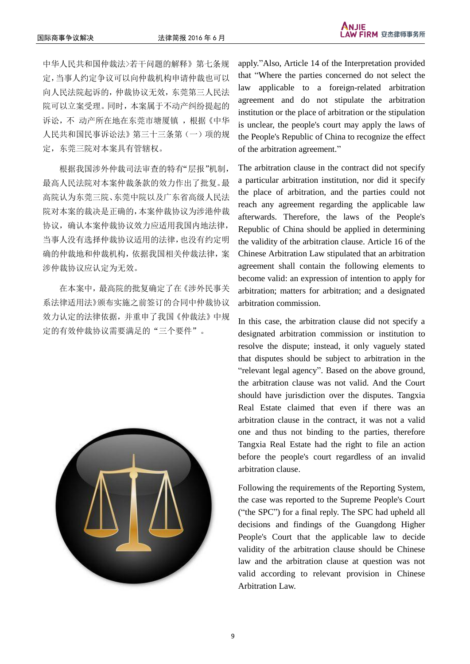中华人民共和国仲裁法>若干问题的解释》第七条规 定,当事人约定争议可以向仲裁机构申请仲裁也可以 向人民法院起诉的,仲裁协议无效,东莞第三人民法 院可以立案受理。同时,本案属于不动产纠纷提起的 诉讼,不 动产所在地在东莞市塘厦镇,根据《中华 人民共和国民事诉讼法》第三十三条第(一)项的规 定,东莞三院对本案具有管辖权。

根据我国涉外仲裁司法审查的特有"层报"机制, 最高人民法院对本案仲裁条款的效力作出了批复。最 高院认为东莞三院、东莞中院以及广东省高级人民法 院对本案的裁决是正确的,本案仲裁协议为涉港仲裁 协议,确认本案仲裁协议效力应适用我国内地法律, 当事人没有选择仲裁协议适用的法律,也没有约定明 确的仲裁地和仲裁机构,依据我国相关仲裁法律,案 涉仲裁协议应认定为无效。

在本案中,最高院的批复确定了在《涉外民事关 系法律适用法》颁布实施之前签订的合同中仲裁协议 效力认定的法律依据,并重申了我国《仲裁法》中规 定的有效仲裁协议需要满足的"三个要件"。



apply."Also, Article 14 of the Interpretation provided that "Where the parties concerned do not select the law applicable to a foreign-related arbitration agreement and do not stipulate the arbitration institution or the place of arbitration or the stipulation is unclear, the people's court may apply the laws of the People's Republic of China to recognize the effect of the arbitration agreement."

The arbitration clause in the contract did not specify a particular arbitration institution, nor did it specify the place of arbitration, and the parties could not reach any agreement regarding the applicable law afterwards. Therefore, the laws of the People's Republic of China should be applied in determining the validity of the arbitration clause. Article 16 of the Chinese Arbitration Law stipulated that an arbitration agreement shall contain the following elements to become valid: an expression of intention to apply for arbitration; matters for arbitration; and a designated arbitration commission.

In this case, the arbitration clause did not specify a designated arbitration commission or institution to resolve the dispute; instead, it only vaguely stated that disputes should be subject to arbitration in the "relevant legal agency". Based on the above ground, the arbitration clause was not valid. And the Court should have jurisdiction over the disputes. Tangxia Real Estate claimed that even if there was an arbitration clause in the contract, it was not a valid one and thus not binding to the parties, therefore Tangxia Real Estate had the right to file an action before the people's court regardless of an invalid arbitration clause.

Following the requirements of the Reporting System, the case was reported to the Supreme People's Court ("the SPC") for a final reply. The SPC had upheld all decisions and findings of the Guangdong Higher People's Court that the applicable law to decide validity of the arbitration clause should be Chinese law and the arbitration clause at question was not valid according to relevant provision in Chinese Arbitration Law.